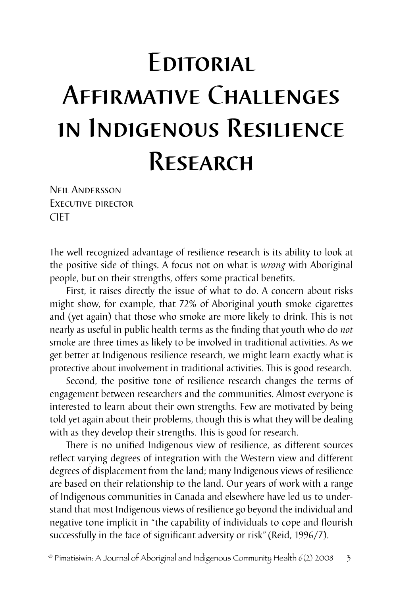## **EDITORIAL** Affirmative Challenges in Indigenous Resilience Research

Neil Andersson Executive director CIET

The well recognized advantage of resilience research is its ability to look at the positive side of things. A focus not on what is *wrong* with Aboriginal people, but on their strengths, offers some practical benefits.

First, it raises directly the issue of what to do. A concern about risks might show, for example, that 72% of Aboriginal youth smoke cigarettes and (yet again) that those who smoke are more likely to drink. This is not nearly as useful in public health terms as the finding that youth who do *not* smoke are three times as likely to be involved in traditional activities. As we get better at Indigenous resilience research, we might learn exactly what is protective about involvement in traditional activities. This is good research.

Second, the positive tone of resilience research changes the terms of engagement between researchers and the communities. Almost everyone is interested to learn about their own strengths. Few are motivated by being told yet again about their problems, though this is what they will be dealing with as they develop their strengths. This is good for research.

There is no unified Indigenous view of resilience, as different sources reflect varying degrees of integration with the Western view and different degrees of displacement from the land; many Indigenous views of resilience are based on their relationship to the land. Our years of work with a range of Indigenous communities in Canada and elsewhere have led us to understand that most Indigenous views of resilience go beyond the individual and negative tone implicit in "the capability of individuals to cope and flourish successfully in the face of significant adversity or risk"(Reid, 1996/7).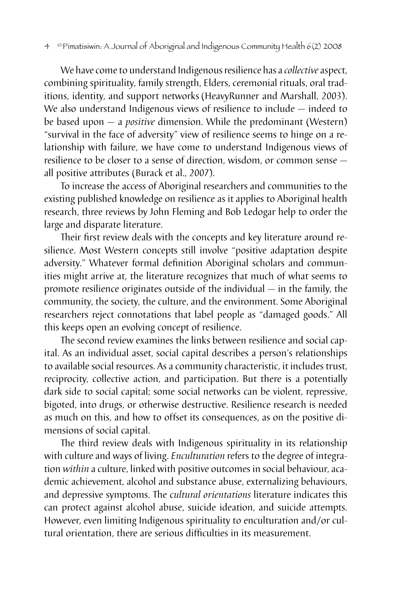We have come to understand Indigenous resilience has a *collective* aspect, combining spirituality, family strength, Elders, ceremonial rituals, oral traditions, identity, and support networks (HeavyRunner and Marshall, 2003). We also understand Indigenous views of resilience to include — indeed to be based upon — a *positive* dimension. While the predominant (Western) "survival in the face of adversity" view of resilience seems to hinge on a relationship with failure, we have come to understand Indigenous views of resilience to be closer to a sense of direction, wisdom, or common sense all positive attributes (Burack et al., 2007).

To increase the access of Aboriginal researchers and communities to the existing published knowledge on resilience as it applies to Aboriginal health research, three reviews by John Fleming and Bob Ledogar help to order the large and disparate literature.

Their first review deals with the concepts and key literature around resilience. Most Western concepts still involve "positive adaptation despite adversity." Whatever formal definition Aboriginal scholars and communities might arrive at, the literature recognizes that much of what seems to promote resilience originates outside of the individual — in the family, the community, the society, the culture, and the environment. Some Aboriginal researchers reject connotations that label people as "damaged goods." All this keeps open an evolving concept of resilience.

The second review examines the links between resilience and social capital. As an individual asset, social capital describes a person's relationships to available social resources. As a community characteristic, it includes trust, reciprocity, collective action, and participation. But there is a potentially dark side to social capital; some social networks can be violent, repressive, bigoted, into drugs, or otherwise destructive. Resilience research is needed as much on this, and how to offset its consequences, as on the positive dimensions of social capital.

The third review deals with Indigenous spirituality in its relationship with culture and ways of living. *Enculturation* refers to the degree of integration *within* a culture, linked with positive outcomes in social behaviour, academic achievement, alcohol and substance abuse, externalizing behaviours, and depressive symptoms. The c*ultural orientations* literature indicates this can protect against alcohol abuse, suicide ideation, and suicide attempts. However, even limiting Indigenous spirituality to enculturation and/or cultural orientation, there are serious difficulties in its measurement.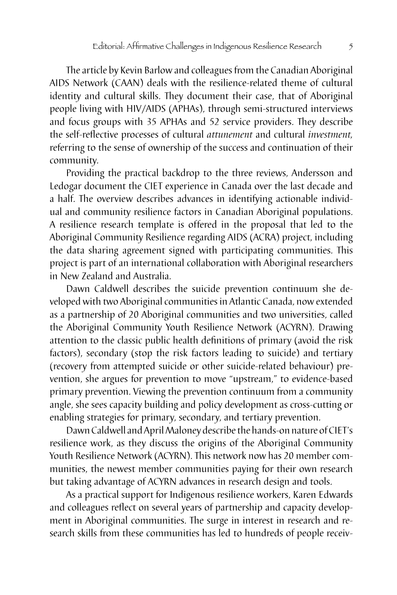The article by Kevin Barlow and colleagues from the Canadian Aboriginal AIDS Network (CAAN) deals with the resilience-related theme of cultural identity and cultural skills. They document their case, that of Aboriginal people living with HIV/AIDS (APHAs), through semi-structured interviews and focus groups with 35 APHAs and 52 service providers. They describe the self-reflective processes of cultural *attunement* and cultural *investment,* referring to the sense of ownership of the success and continuation of their community.

Providing the practical backdrop to the three reviews, Andersson and Ledogar document the CIET experience in Canada over the last decade and a half. The overview describes advances in identifying actionable individual and community resilience factors in Canadian Aboriginal populations. A resilience research template is offered in the proposal that led to the Aboriginal Community Resilience regarding AIDS (ACRA) project, including the data sharing agreement signed with participating communities. This project is part of an international collaboration with Aboriginal researchers in New Zealand and Australia.

Dawn Caldwell describes the suicide prevention continuum she developed with two Aboriginal communities in Atlantic Canada, now extended as a partnership of 20 Aboriginal communities and two universities, called the Aboriginal Community Youth Resilience Network (ACYRN). Drawing attention to the classic public health definitions of primary (avoid the risk factors), secondary (stop the risk factors leading to suicide) and tertiary (recovery from attempted suicide or other suicide-related behaviour) prevention, she argues for prevention to move "upstream," to evidence-based primary prevention. Viewing the prevention continuum from a community angle, she sees capacity building and policy development as cross-cutting or enabling strategies for primary, secondary, and tertiary prevention.

Dawn Caldwell and April Maloney describe the hands-on nature of CIET's resilience work, as they discuss the origins of the Aboriginal Community Youth Resilience Network (ACYRN). This network now has 20 member communities, the newest member communities paying for their own research but taking advantage of ACYRN advances in research design and tools.

As a practical support for Indigenous resilience workers, Karen Edwards and colleagues reflect on several years of partnership and capacity development in Aboriginal communities. The surge in interest in research and research skills from these communities has led to hundreds of people receiv